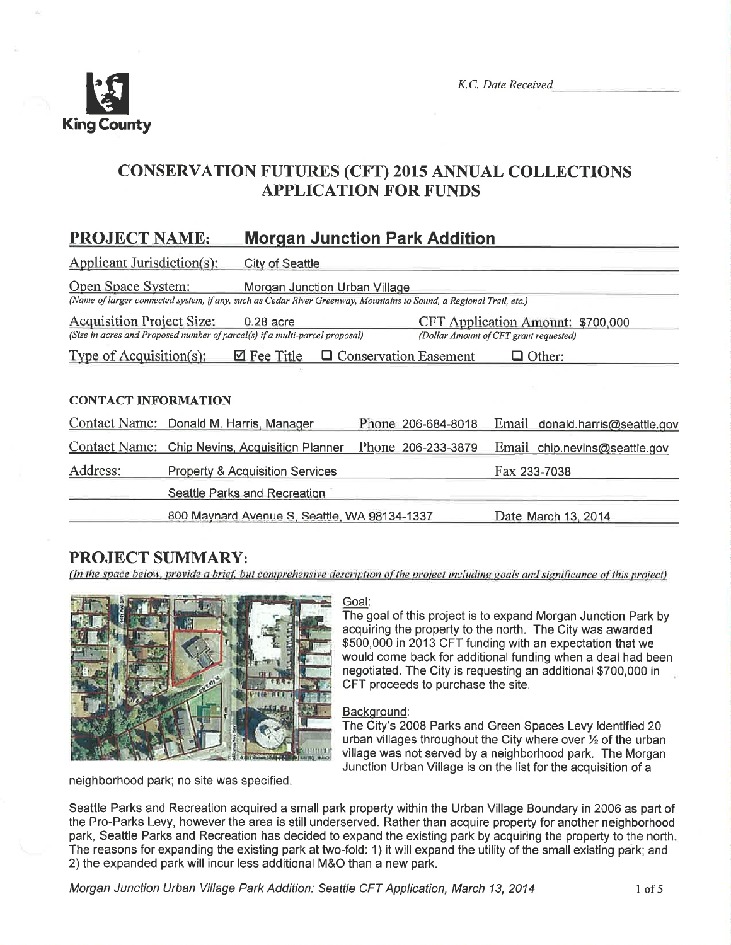

# **CONSERVATION FUTURES (CFT) 2015 ANNUAL COLLECTIONS APPLICATION FOR FUNDS**

#### **PROJECT NAME: Morgan Junction Park Addition**

| Applicant Jurisdiction(s):                                                                                                                                                                                    | City of Seattle                                                                                                                                      |                    |                                    |  |  |
|---------------------------------------------------------------------------------------------------------------------------------------------------------------------------------------------------------------|------------------------------------------------------------------------------------------------------------------------------------------------------|--------------------|------------------------------------|--|--|
| Open Space System:                                                                                                                                                                                            | Morgan Junction Urban Village<br>(Name of larger connected system, if any, such as Cedar River Greenway, Mountains to Sound, a Regional Trail, etc.) |                    |                                    |  |  |
| <b>Acquisition Project Size:</b><br>CFT Application Amount: \$700,000<br>$0.28$ acre<br>(Size in acres and Proposed number of parcel(s) if a multi-parcel proposal)<br>(Dollar Amount of CFT grant requested) |                                                                                                                                                      |                    |                                    |  |  |
| Type of Acquisition(s):<br>$\boxtimes$ Fee Title<br>$\Box$ Conservation Easement<br>$\Box$ Other:                                                                                                             |                                                                                                                                                      |                    |                                    |  |  |
|                                                                                                                                                                                                               |                                                                                                                                                      |                    |                                    |  |  |
| <b>CONTACT INFORMATION</b>                                                                                                                                                                                    |                                                                                                                                                      |                    |                                    |  |  |
| <b>Contact Name:</b>                                                                                                                                                                                          | Donald M. Harris, Manager                                                                                                                            | Phone 206-684-8018 | Email<br>donald.harris@seattle.gov |  |  |
| Contact Name:                                                                                                                                                                                                 | Chip Nevins, Acquisition Planner                                                                                                                     | Phone 206-233-3879 | $Email$ chip.nevins@seattle.gov    |  |  |
| Address:                                                                                                                                                                                                      | <b>Property &amp; Acquisition Services</b>                                                                                                           |                    | Fax 233-7038                       |  |  |
|                                                                                                                                                                                                               | Seattle Parks and Recreation                                                                                                                         |                    |                                    |  |  |
|                                                                                                                                                                                                               | 800 Maynard Avenue S. Seattle, MA 08134-1337                                                                                                         |                    | Date March 13, 2014                |  |  |

# **PROJECT SUMMARY:**

(In the space below, provide a brief, but comprehensive description of the project including goals and significance of this project)



## neighborhood park; no site was specified.

# Goal:

The goal of this project is to expand Morgan Junction Park by acquiring the property to the north. The City was awarded \$500,000 in 2013 CFT funding with an expectation that we would come back for additional funding when a deal had been negotiated. The City is requesting an additional \$700,000 in CFT proceeds to purchase the site.

#### Background:

The City's 2008 Parks and Green Spaces Levy identified 20 urban villages throughout the City where over 1/2 of the urban village was not served by a neighborhood park. The Morgan Junction Urban Village is on the list for the acquisition of a

Seattle Parks and Recreation acquired a small park property within the Urban Village Boundary in 2006 as part of the Pro-Parks Levy, however the area is still underserved. Rather than acquire property for another neighborhood park. Seattle Parks and Recreation has decided to expand the existing park by acquiring the property to the north. The reasons for expanding the existing park at two-fold: 1) it will expand the utility of the small existing park; and 2) the expanded park will incur less additional M&O than a new park.

Morgan Junction Urban Village Park Addition: Seattle CFT Application, March 13, 2014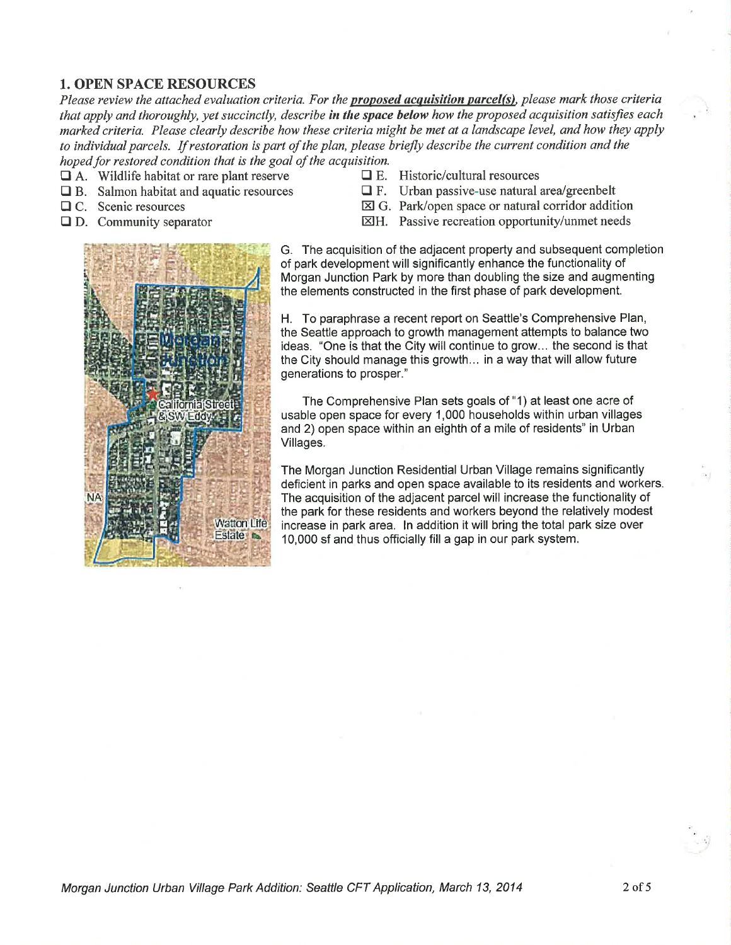# I. OPEN SPACE RESOURCES

Please review the attached evaluation criteria. For the **proposed acquisition parcel(s)**, please mark those criteria that apply and thoroughly, yet succinctly, describe in the space below how the proposed acquisition satisfies each marked criteria. Please clearly describe how these criteria might be met at a landscape level, and how they apply to individual parcels. If restoration is part of the plan, please briefly describe the current condition and the hoped for restored condition that is the goal of the acquisition.

- 
- $\Box$  A. Wildlife habitat or rare plant reserve  $\Box$  E. Historic/cultural resources  $\Box$  B. Salmon habitat and aquatic resources  $\Box$  F. Urban passive-use natural area/greenbelt  $\Box$  B. Salmon habitat and aquatic resources
- 
- 



- 
- 
- **tracks** C. Scenic resources E G. Park/open space or natural corridor addition **D.** Community separator E E G. Passive recreation opportunity/unmet needs
	- $\boxtimes$ H. Passive recreation opportunity/unmet needs

G. The acquisition of the adjacent property and subsequent completion of park development will significantly enhance the functionality of Morgan Junction Park by more than doubling the size and augmenting the elements constructed in the first phase of park development.

H. To paraphrase a recent report on Seattle's Comprehensive Plan, the Seattle approach to growth management attempts to balance two ideas. "One is that the City will continue to grow... the second is that the City should manage this growth... in a way that will allow future generations to prosper."

The Comprehensive Plan sets goals of "1) at least one acre of usable open space for every 1,000 households within urban villages and 2) open space within an eighth of a mile of residents" in Urban Villages.

The Morgan Junction Residential Urban Village remains significantly deficient in parks and open space available to its residents and workers. The acquisition of the adjacent parcel will increase the functionality of the park for these residents and workers beyond the relatively modest increase in park area. ln addition it will bring the total park size over 10,000 sf and thus officially fill a gap in our park system.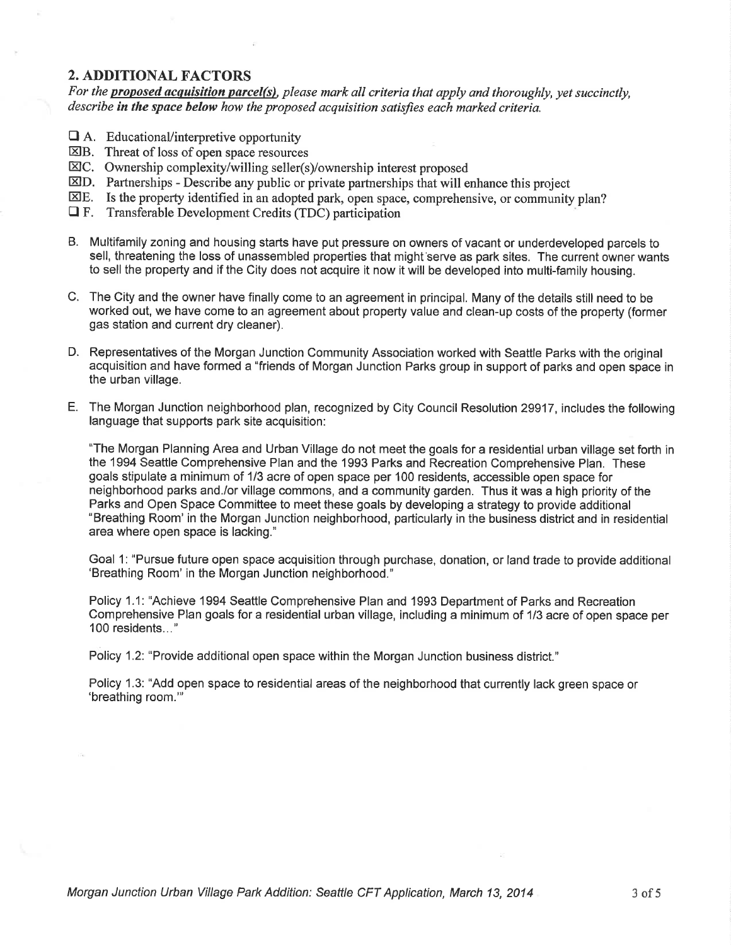## 2. ADDITIONAL FACTORS

For the **proposed acquisition parcel(s)**, please mark all criteria that apply and thoroughly, yet succinctly, describe in the space below how the proposed acquisition satisfies each marked criteria.

- $\Box$  A. Educational/interpretive opportunity
- EB. Threat ofloss ofopen space resources
- ElC. Ownership complexity/willing seller(s)/ownership interest proposed
- $\boxtimes$ D. Partnerships Describe any public or private partnerships that will enhance this project
- EE. Is the property identified in an adopted park, open space, comprehensive, or community plan?
- $\Box$  F. Transferable Development Credits (TDC) participation
- B. Multifamily zoning and housing starts have put pressure on owners of vacant or underdeveloped parcels to sell, threatening the loss of unassembled properties that might serve as park sites. The current owner wants to sell the property and if the City does not acquire it now it will be developed into multi-family housing.
- C. The City and the owner have finally come to an agreement in principal. Many of the details still need to be worked out, we have come to an agreement about property value and clean-up costs of the property (former gas station and current dry cleaner).
- D. Representatives of the Morgan Junction Community Association worked with Seattle Parks with the original acquisition and have formed a "friends of Morgan Junction Parks group in support of parks and open space in the urban village.
- E. The Morgan Junction neighborhood plan, recognized by City Council Resolution 29917, includes the following language that supports park site acquisition:

"The Morgan Planning Area and Urban Village do not meet the goals for a residential urban village set forth in the 1994 Seattle Comprehensive Plan and the 1993 Parks and Recreation Comprehensive Plan. These goals stipulate a minimum of 1/3 acre of open space per 100 residents, accessible open space for neighborhood parks and./or village commons, and a community garden. Thus it was a high priority of the Parks and Open Space Committee to meet these goals by developing a strategy to provide additional "Breathing Room' in the Morgan Junction neighborhood, particularly in the business district and in residential area where open space is lacking."

Goal 1: "Pursue future open space acquisition through purchase, donation, or land trade to provide additional 'Breathing Room' in the Morgan Junction neighborhood."

Policy 1.1: "Achieve 1994 Seattle Comprehensive Plan and 1993 Department of Parks and Recreation Comprehensive Plan goals for a residential urban village, including a minimum of 113 acre of open space per 100 residents... "

Policy 1.2: "Provide additional open space within the Morgan Junction business district."

Policy 1.3: "Add open space to residential areas of the neighborhood that currently lack green space or 'breathing room."'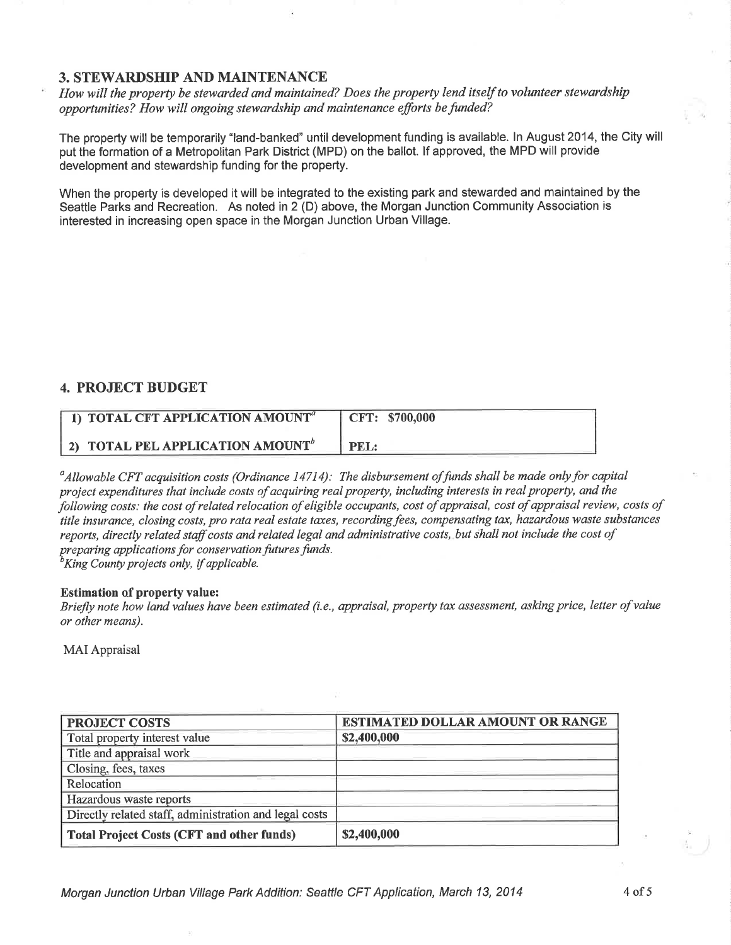#### 3. STEWARDSHIP AND MAINTENANCE

How will the property be stewarded and maintained? Does the property lend itself to volunteer stewardship opportunities? How will ongoing stewardship and maintenance efforts be funded?

The property will be temporarily "land-banked" until development funding is available. In August 2014, the City will put the formation of a Metropolitan Park District (MPD) on the ballot. lf approved, the MPD will provide development and stewardship funding for the property.

When the property is developed it will be integrated to the existing park and stewarded and maintained by the Seattle Parks and Recreation. As noted in 2 (D) above, the Morgan Junction Community Association is interested in increasing open space in the Morgan Junction Urban Village.

### 4. PROJECT BUDGET

| 1) TOTAL CFT APPLICATION AMOUNT <sup>a</sup> | CFT: \$700,000 |
|----------------------------------------------|----------------|
| 2) TOTAL PEL APPLICATION AMOUNT <sup>b</sup> | <b>PEL:</b>    |

 $^a$ Allowable CFT acquisition costs (Ordinance 14714): The disbursement of funds shall be made only for capital project expenditures that include costs of acquiring real property, including ínterests in real property, and the following costs: the cost of related relocation of eligible occupants, cost of appraisal, cost of appraisal review, costs of title insurance, closing costs, pro rata real estate taxes, recording fees, compensating tax, hazardous waste substances reports, directly related staff costs and related legal and administrative costs, but shall not include the cost of preparing applications for conservation futures funds.<br><sup>b</sup>King County projects only, if applicable.

#### Estimation of property value:

Briefly note how land values have been estimated (i.e., appraisal, property tax assessment, asking price, letter of value or other means).

MAI Appraisal

| <b>PROJECT COSTS</b>                                   | <b>ESTIMATED DOLLAR AMOUNT OR RANGE</b> |  |  |
|--------------------------------------------------------|-----------------------------------------|--|--|
| Total property interest value                          | \$2,400,000                             |  |  |
| Title and appraisal work                               |                                         |  |  |
| Closing, fees, taxes                                   |                                         |  |  |
| Relocation                                             |                                         |  |  |
| Hazardous waste reports                                |                                         |  |  |
| Directly related staff, administration and legal costs |                                         |  |  |
| <b>Total Project Costs (CFT and other funds)</b>       | \$2,400,000                             |  |  |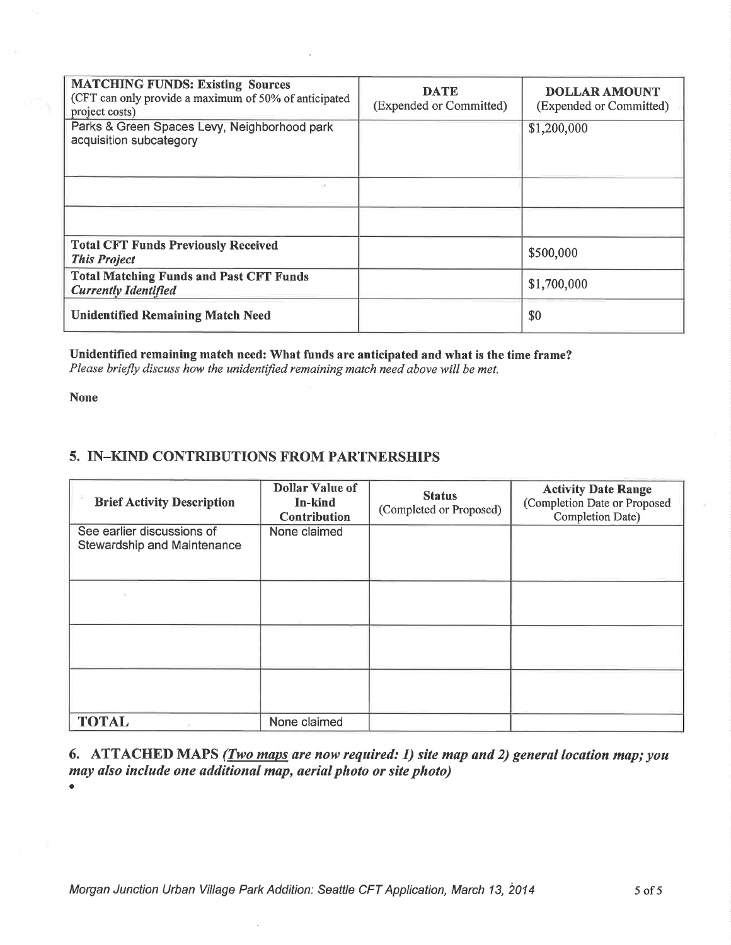| <b>MATCHING FUNDS: Existing Sources</b><br>(CFT can only provide a maximum of 50% of anticipated<br>project costs) | <b>DATE</b><br>(Expended or Committed) | <b>DOLLAR AMOUNT</b><br>(Expended or Committed) |
|--------------------------------------------------------------------------------------------------------------------|----------------------------------------|-------------------------------------------------|
| Parks & Green Spaces Levy, Neighborhood park<br>acquisition subcategory                                            |                                        | \$1,200,000                                     |
| 39                                                                                                                 |                                        |                                                 |
|                                                                                                                    |                                        |                                                 |
| <b>Total CFT Funds Previously Received</b><br><b>This Project</b>                                                  |                                        | \$500,000                                       |
| <b>Total Matching Funds and Past CFT Funds</b><br><b>Currently Identified</b>                                      |                                        | \$1,700,000                                     |
| <b>Unidentified Remaining Match Need</b>                                                                           |                                        | \$0                                             |

Unidentified remaining match need: What funds are anticipated and what is the time frame? Please briefly discuss how the unidentified remaining match need above will be met.

None

 $\bullet$ 

# 5. IN-KIND CONTRIBUTIONS FROM PARTNERSHIPS

| <b>Brief Activity Description</b>                         | <b>Dollar Value of</b><br><b>In-kind</b><br><b>Contribution</b> | <b>Status</b><br>(Completed or Proposed) | <b>Activity Date Range</b><br>(Completion Date or Proposed<br>Completion Date) |
|-----------------------------------------------------------|-----------------------------------------------------------------|------------------------------------------|--------------------------------------------------------------------------------|
| See earlier discussions of<br>Stewardship and Maintenance | None claimed                                                    |                                          |                                                                                |
|                                                           |                                                                 |                                          |                                                                                |
|                                                           |                                                                 |                                          |                                                                                |
|                                                           |                                                                 |                                          |                                                                                |
| <b>TOTAL</b>                                              | None claimed                                                    |                                          |                                                                                |

6. ATTACHED MAPS (*Iwo maps are now required: 1) site map and 2) general location map; you* may also include one additional map, aerial photo or site photo)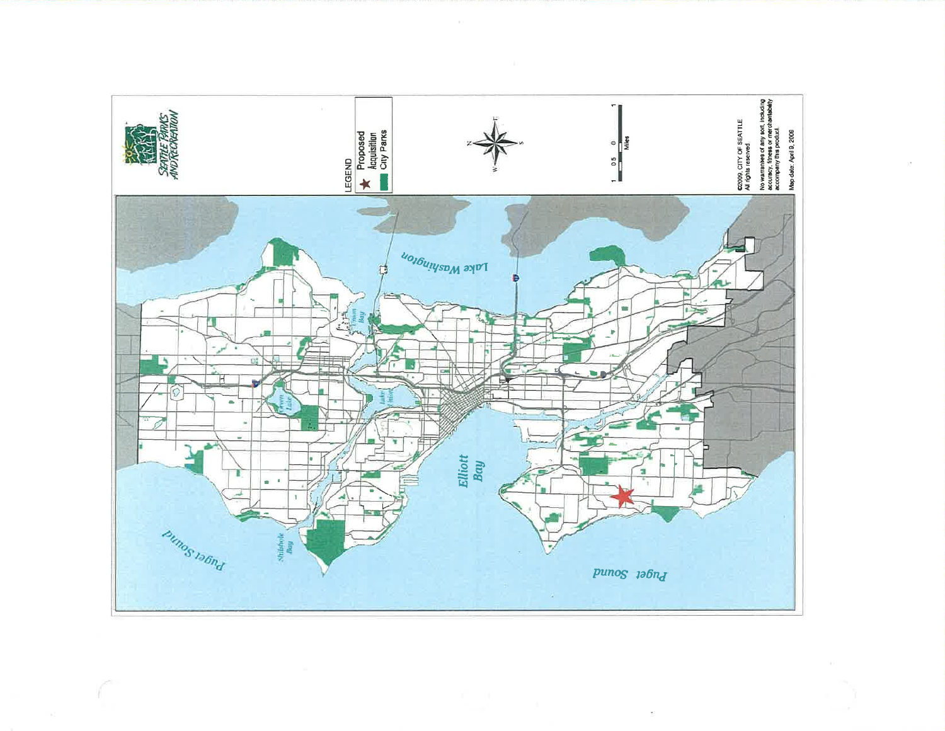

 $\pm 1$